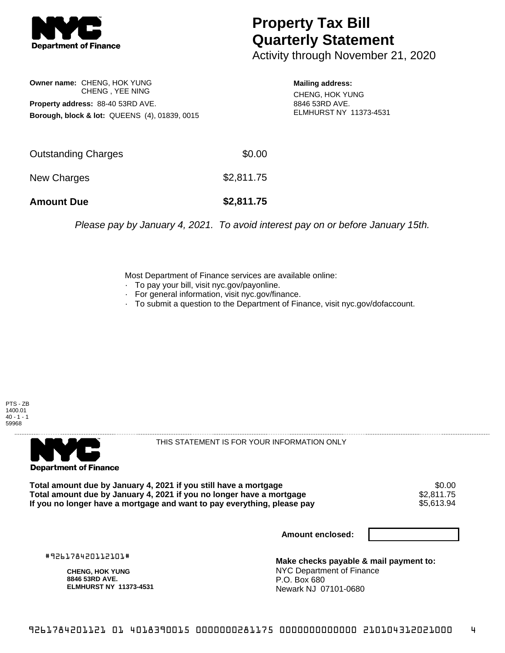

## **Property Tax Bill Quarterly Statement**

Activity through November 21, 2020

**Owner name:** CHENG, HOK YUNG CHENG , YEE NING **Property address:** 88-40 53RD AVE. **Borough, block & lot:** QUEENS (4), 01839, 0015

**Mailing address:** CHENG, HOK YUNG 8846 53RD AVE. ELMHURST NY 11373-4531

| <b>Amount Due</b>   | \$2,811.75 |
|---------------------|------------|
| New Charges         | \$2,811.75 |
| Outstanding Charges | \$0.00     |

Please pay by January 4, 2021. To avoid interest pay on or before January 15th.

Most Department of Finance services are available online:

- · To pay your bill, visit nyc.gov/payonline.
- For general information, visit nyc.gov/finance.
- · To submit a question to the Department of Finance, visit nyc.gov/dofaccount.





THIS STATEMENT IS FOR YOUR INFORMATION ONLY

Total amount due by January 4, 2021 if you still have a mortgage \$0.00<br>Total amount due by January 4, 2021 if you no longer have a mortgage \$2.811.75 **Total amount due by January 4, 2021 if you no longer have a mortgage**  $$2,811.75$ **<br>If you no longer have a mortgage and want to pay everything, please pay**  $$5,613.94$ If you no longer have a mortgage and want to pay everything, please pay

**Amount enclosed:**

#926178420112101#

**CHENG, HOK YUNG 8846 53RD AVE. ELMHURST NY 11373-4531**

**Make checks payable & mail payment to:** NYC Department of Finance P.O. Box 680 Newark NJ 07101-0680